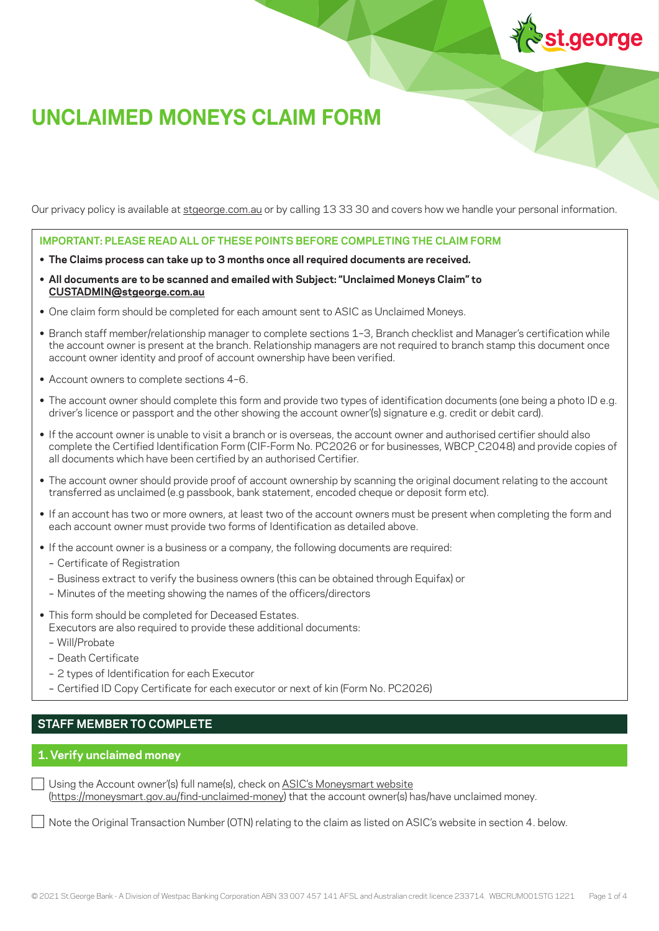

# **UNCLAIMED MONEYS CLAIM FORM**

Our privacy policy is available at [stgeorge.com.au](https://urldefense.com/v3/__http://www.stgeorge.com.au__;!!KoGOJA!m8jH6GtRqZLumuPXE3KCZcR-a6mu18FZb_HlS7S9otBrBIjWcrNuzmTccs5XLQbEEUxN$) or by calling 13 33 30 and covers how we handle your personal information.

**IMPORTANT: PLEASE READ ALL OF THESE POINTS BEFORE COMPLETING THE CLAIM FORM**

- **• The Claims process can take up to 3 months once all required documents are received.**
- **• All documents are to be scanned and emailed with Subject: "Unclaimed Moneys Claim" to [CUSTADMIN@stgeorge.com.au](mailto:CUSTADMIN%40stgeorge.com.au?subject=)**
- **•** One claim form should be completed for each amount sent to ASIC as Unclaimed Moneys.
- **•** Branch staff member/relationship manager to complete sections 1–3, Branch checklist and Manager's certification while the account owner is present at the branch. Relationship managers are not required to branch stamp this document once account owner identity and proof of account ownership have been verified.
- **•** Account owners to complete sections 4–6.
- **•** The account owner should complete this form and provide two types of identification documents (one being a photo ID e.g. driver's licence or passport and the other showing the account owner'(s) signature e.g. credit or debit card).
- **•** If the account owner is unable to visit a branch or is overseas, the account owner and authorised certifier should also complete the Certified Identification Form (CIF-Form No. PC2026 or for businesses, WBCP\_C2048) and provide copies of all documents which have been certified by an authorised Certifier.
- **•** The account owner should provide proof of account ownership by scanning the original document relating to the account transferred as unclaimed (e.g passbook, bank statement, encoded cheque or deposit form etc).
- **•** If an account has two or more owners, at least two of the account owners must be present when completing the form and each account owner must provide two forms of Identification as detailed above.
- **•** If the account owner is a business or a company, the following documents are required:
	- Certificate of Registration
	- Business extract to verify the business owners (this can be obtained through Equifax) or
	- Minutes of the meeting showing the names of the officers/directors
- **•** This form should be completed for Deceased Estates. Executors are also required to provide these additional documents:
	- Will/Probate
	- Death Certificate
	- 2 types of Identification for each Executor
	- Certified ID Copy Certificate for each executor or next of kin (Form No. PC2026)

# **STAFF MEMBER TO COMPLETE**

#### **1. Verify unclaimed money**

Using the Account owner'(s) full name(s), check on [ASIC's Moneysmart website](https://moneysmart.gov.au/find-unclaimed-money) [\(https://moneysmart.gov.au/find-unclaimed-money\)](https://moneysmart.gov.au/find-unclaimed-money) that the account owner(s) has/have unclaimed money.

Note the Original Transaction Number (OTN) relating to the claim as listed on ASIC's website in section 4. below.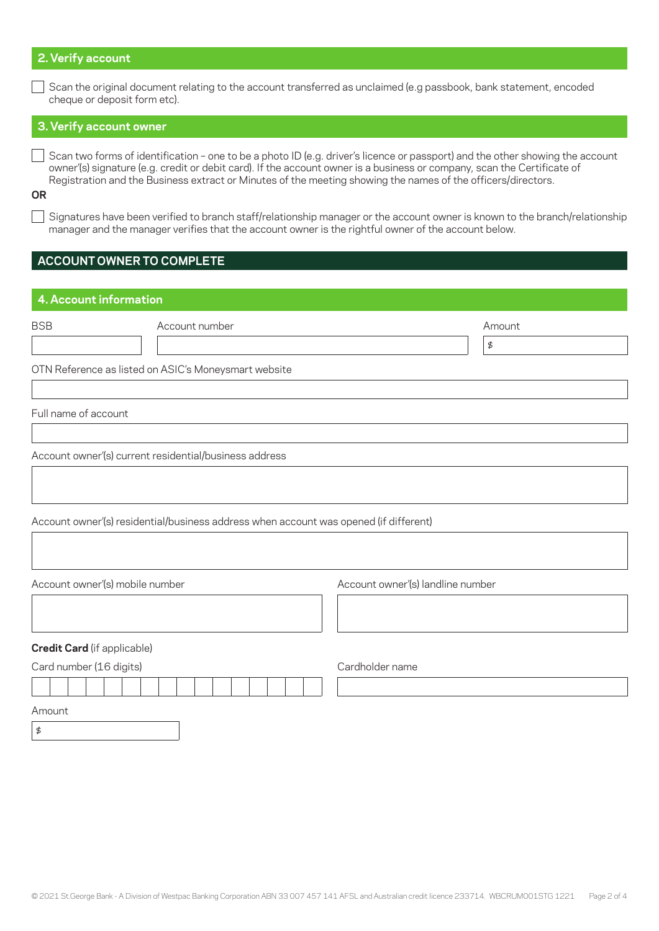### **2. Verify account**

Scan the original document relating to the account transferred as unclaimed (e.g passbook, bank statement, encoded cheque or deposit form etc).

# **3. Verify account owner**

 $\Box$  Scan two forms of identification - one to be a photo ID (e.g. driver's licence or passport) and the other showing the account owner'(s) signature (e.g. credit or debit card). If the account owner is a business or company, scan the Certificate of Registration and the Business extract or Minutes of the meeting showing the names of the officers/directors.

**OR**

 $\Box$  Signatures have been verified to branch staff/relationship manager or the account owner is known to the branch/relationship manager and the manager verifies that the account owner is the rightful owner of the account below.

\$

# **ACCOUNT OWNER TO COMPLETE**

# **4. Account information**

|   | <br>×     |   |  |
|---|-----------|---|--|
| I | n sa<br>× | ٠ |  |
|   | $\sim$    |   |  |

Account number and the state of the state of the state of the state of the state of the state of the state of the state of the state of the state of the state of the state of the state of the state of the state of the stat

OTN Reference as listed on ASIC's Moneysmart website

Full name of account

Account owner'(s) current residential/business address

Account owner'(s) residential/business address when account was opened (if different)

Account owner'(s) mobile number  $\overline{a}$  Account owner'(s) landline number **Credit Card** (if applicable) Card number (16 digits) Cardholder name Amount

\$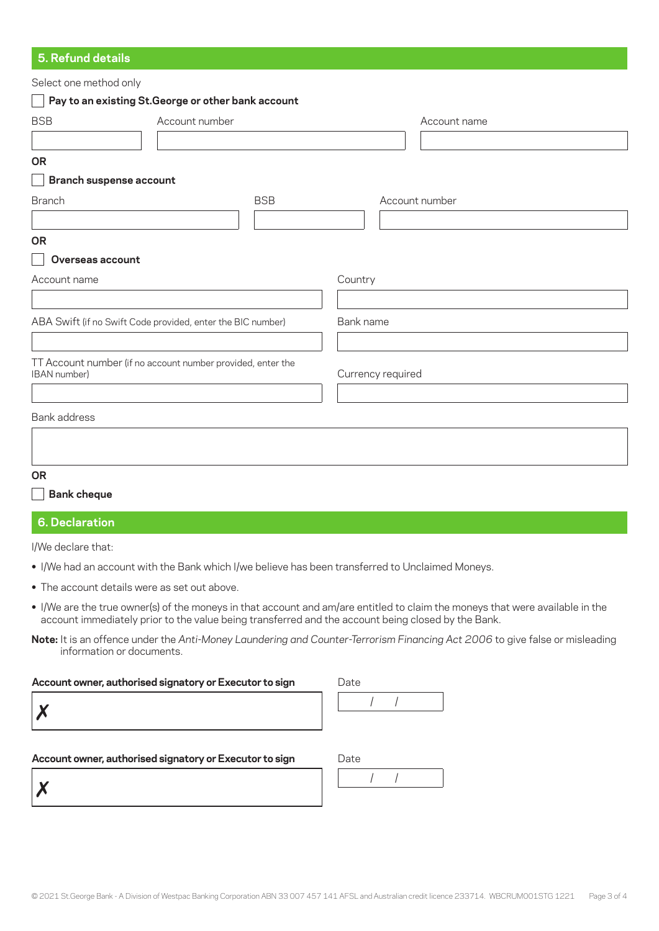# **5. Refund details**

| Select one method only                                      |                |            |                   |                |
|-------------------------------------------------------------|----------------|------------|-------------------|----------------|
| Pay to an existing St. George or other bank account         |                |            |                   |                |
| <b>BSB</b>                                                  | Account number |            |                   | Account name   |
|                                                             |                |            |                   |                |
| <b>OR</b>                                                   |                |            |                   |                |
| <b>Branch suspense account</b>                              |                |            |                   |                |
| <b>Branch</b>                                               |                | <b>BSB</b> |                   | Account number |
|                                                             |                |            |                   |                |
| <b>OR</b>                                                   |                |            |                   |                |
| Overseas account                                            |                |            |                   |                |
| Account name                                                |                |            | Country           |                |
|                                                             |                |            |                   |                |
| ABA Swift (if no Swift Code provided, enter the BIC number) |                |            | Bank name         |                |
|                                                             |                |            |                   |                |
| TT Account number (if no account number provided, enter the |                |            |                   |                |
| IBAN number)                                                |                |            | Currency required |                |
|                                                             |                |            |                   |                |
| Bank address                                                |                |            |                   |                |
|                                                             |                |            |                   |                |
|                                                             |                |            |                   |                |
| <b>OR</b>                                                   |                |            |                   |                |
| <b>Bank cheque</b>                                          |                |            |                   |                |
|                                                             |                |            |                   |                |

# **6. Declaration**

I/We declare that:

- **•** I/We had an account with the Bank which I/we believe has been transferred to Unclaimed Moneys.
- **•** The account details were as set out above.
- **•** I/We are the true owner(s) of the moneys in that account and am/are entitled to claim the moneys that were available in the account immediately prior to the value being transferred and the account being closed by the Bank.

**Note:** It is an offence under the *Anti-Money Laundering and Counter-Terrorism Financing Act 2006* to give false or misleading information or documents.

#### Account owner, authorised signatory or Executor to sign

| \ccount owner, authorised signatory or Executor to sign |  |  | Jate |  |  |  |
|---------------------------------------------------------|--|--|------|--|--|--|
| $\mathbf{M}$<br>◢                                       |  |  |      |  |  |  |

Account owner, authorised signatory or Executor to sign

| \ccount owner, authorised signatory or Executor to sign | ')ate |
|---------------------------------------------------------|-------|
| $\mathbf{M}$                                            |       |